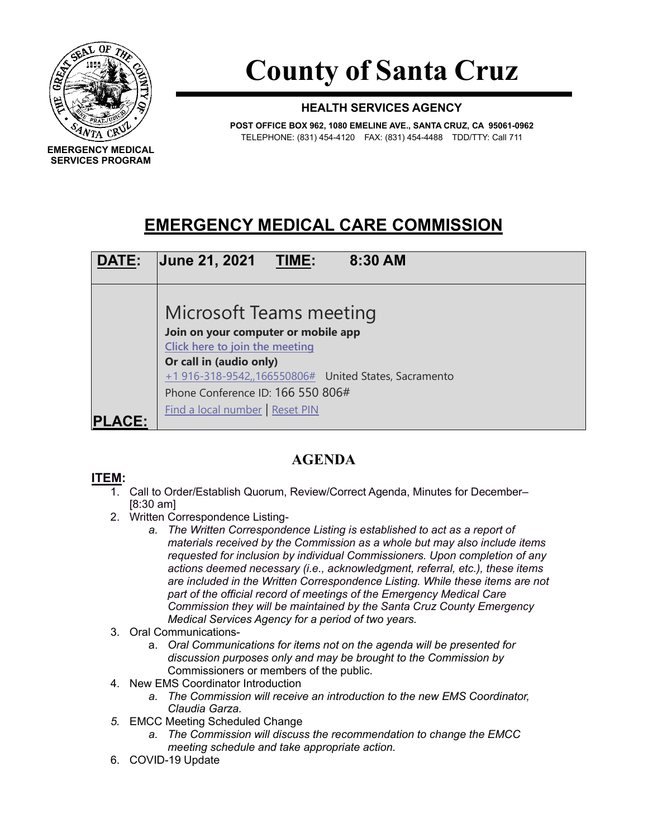

**SERVICES PROGRAM**

**County of Santa Cruz**

## **HEALTH SERVICES AGENCY**

**POST OFFICE BOX 962, 1080 EMELINE AVE., SANTA CRUZ, CA 95061-0962** TELEPHONE: (831) 454-4120 FAX: (831) 454-4488 TDD/TTY: Call 711

## **EMERGENCY MEDICAL CARE COMMISSION**



## **AGENDA**

## **ITEM:**

- 1. Call to Order/Establish Quorum, Review/Correct Agenda, Minutes for December– [8:30 am]
- 2. Written Correspondence Listing
	- *a. The Written Correspondence Listing is established to act as a report of materials received by the Commission as a whole but may also include items requested for inclusion by individual Commissioners. Upon completion of any actions deemed necessary (i.e., acknowledgment, referral, etc.), these items are included in the Written Correspondence Listing. While these items are not part of the official record of meetings of the Emergency Medical Care Commission they will be maintained by the Santa Cruz County Emergency Medical Services Agency for a period of two years.*
- 3. Oral Communications
	- a. *Oral Communications for items not on the agenda will be presented for discussion purposes only and may be brought to the Commission by*  Commissioners or members of the public.
- 4. New EMS Coordinator Introduction
	- *a. The Commission will receive an introduction to the new EMS Coordinator, Claudia Garza.*
- *5.* EMCC Meeting Scheduled Change
	- *a. The Commission will discuss the recommendation to change the EMCC meeting schedule and take appropriate action.*
- 6. COVID-19 Update